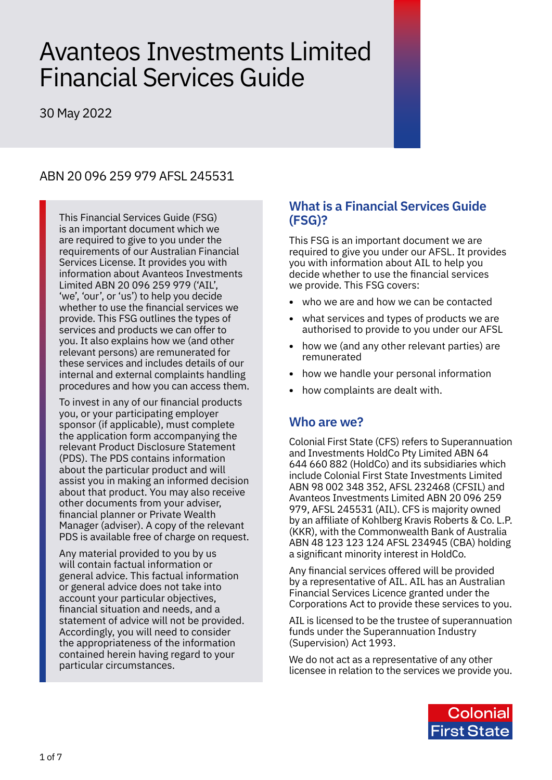# Avanteos Investments Limited Financial Services Guide

30 May 2022

# ABN 20 096 259 979 AFSL 245531

This Financial Services Guide (FSG) is an important document which we are required to give to you under the requirements of our Australian Financial Services License. It provides you with information about Avanteos Investments Limited ABN 20 096 259 979 ('AIL', 'we', 'our', or 'us') to help you decide whether to use the financial services we provide. This FSG outlines the types of services and products we can offer to you. It also explains how we (and other relevant persons) are remunerated for these services and includes details of our internal and external complaints handling procedures and how you can access them.

To invest in any of our financial products you, or your participating employer sponsor (if applicable), must complete the application form accompanying the relevant Product Disclosure Statement (PDS). The PDS contains information about the particular product and will assist you in making an informed decision about that product. You may also receive other documents from your adviser, financial planner or Private Wealth Manager (adviser). A copy of the relevant PDS is available free of charge on request.

Any material provided to you by us will contain factual information or general advice. This factual information or general advice does not take into account your particular objectives, financial situation and needs, and a statement of advice will not be provided. Accordingly, you will need to consider the appropriateness of the information contained herein having regard to your particular circumstances.

## **What is a Financial Services Guide (FSG)?**

This FSG is an important document we are required to give you under our AFSL. It provides you with information about AIL to help you decide whether to use the financial services we provide. This FSG covers:

- **•** who we are and how we can be contacted
- **•** what services and types of products we are authorised to provide to you under our AFSL
- **•** how we (and any other relevant parties) are remunerated
- **•** how we handle your personal information
- **•** how complaints are dealt with.

## **Who are we?**

Colonial First State (CFS) refers to Superannuation and Investments HoldCo Pty Limited ABN 64 644 660 882 (HoldCo) and its subsidiaries which include Colonial First State Investments Limited ABN 98 002 348 352, AFSL 232468 (CFSIL) and Avanteos Investments Limited ABN 20 096 259 979, AFSL 245531 (AIL). CFS is majority owned by an affiliate of Kohlberg Kravis Roberts & Co. L.P. (KKR), with the Commonwealth Bank of Australia ABN 48 123 123 124 AFSL 234945 (CBA) holding a significant minority interest in HoldCo.

Any financial services offered will be provided by a representative of AIL. AIL has an Australian Financial Services Licence granted under the Corporations Act to provide these services to you.

AIL is licensed to be the trustee of superannuation funds under the Superannuation Industry (Supervision) Act 1993.

We do not act as a representative of any other licensee in relation to the services we provide you.

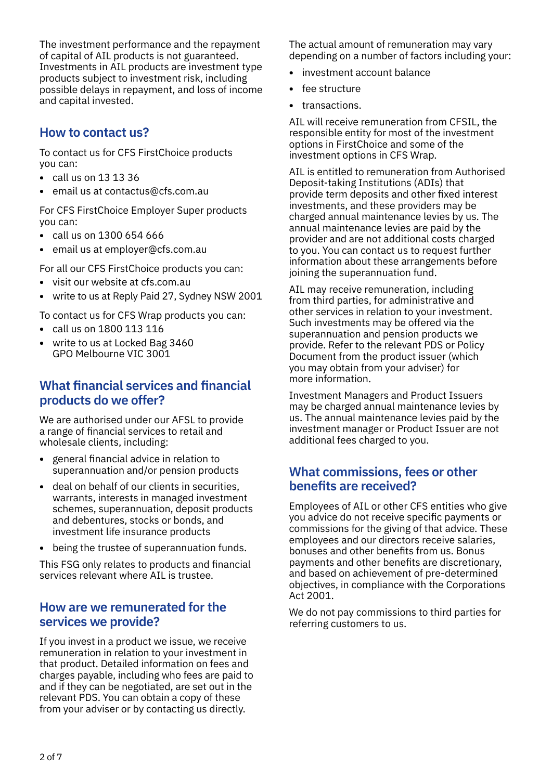The investment performance and the repayment of capital of AIL products is not guaranteed. Investments in AIL products are investment type products subject to investment risk, including possible delays in repayment, and loss of income and capital invested.

# **How to contact us?**

To contact us for CFS FirstChoice products you can:

- **•** call us on 13 13 36
- **•** email us at contactus@cfs.com.au

For CFS FirstChoice Employer Super products you can:

- **•** call us on 1300 654 666
- **•** email us at employer@cfs.com.au

For all our CFS FirstChoice products you can:

- **•** visit our website at cfs.com.au
- **•** write to us at Reply Paid 27, Sydney NSW 2001

To contact us for CFS Wrap products you can:

- **•** call us on 1800 113 116
- **•** write to us at Locked Bag 3460 GPO Melbourne VIC 3001

# **What financial services and financial products do we offer?**

We are authorised under our AFSL to provide a range of financial services to retail and wholesale clients, including:

- **•** general financial advice in relation to superannuation and/or pension products
- **•** deal on behalf of our clients in securities, warrants, interests in managed investment schemes, superannuation, deposit products and debentures, stocks or bonds, and investment life insurance products
- **•** being the trustee of superannuation funds.

This FSG only relates to products and financial services relevant where AIL is trustee.

## **How are we remunerated for the services we provide?**

If you invest in a product we issue, we receive remuneration in relation to your investment in that product. Detailed information on fees and charges payable, including who fees are paid to and if they can be negotiated, are set out in the relevant PDS. You can obtain a copy of these from your adviser or by contacting us directly.

The actual amount of remuneration may vary depending on a number of factors including your:

- **•** investment account balance
- **•** fee structure
- **•** transactions.

AIL will receive remuneration from CFSIL, the responsible entity for most of the investment options in FirstChoice and some of the investment options in CFS Wrap.

AIL is entitled to remuneration from Authorised Deposit-taking Institutions (ADIs) that provide term deposits and other fixed interest investments, and these providers may be charged annual maintenance levies by us. The annual maintenance levies are paid by the provider and are not additional costs charged to you. You can contact us to request further information about these arrangements before joining the superannuation fund.

AIL may receive remuneration, including from third parties, for administrative and other services in relation to your investment. Such investments may be offered via the superannuation and pension products we provide. Refer to the relevant PDS or Policy Document from the product issuer (which you may obtain from your adviser) for more information.

Investment Managers and Product Issuers may be charged annual maintenance levies by us. The annual maintenance levies paid by the investment manager or Product Issuer are not additional fees charged to you.

## **What commissions, fees or other benefits are received?**

Employees of AIL or other CFS entities who give you advice do not receive specific payments or commissions for the giving of that advice. These employees and our directors receive salaries, bonuses and other benefits from us. Bonus payments and other benefits are discretionary, and based on achievement of pre-determined objectives, in compliance with the Corporations Act 2001.

We do not pay commissions to third parties for referring customers to us.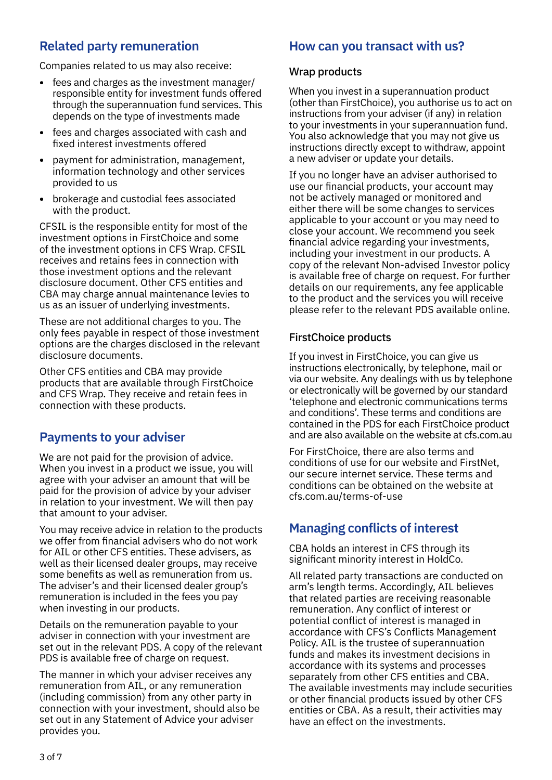# **Related party remuneration**

Companies related to us may also receive:

- **•** fees and charges as the investment manager/ responsible entity for investment funds offered through the superannuation fund services. This depends on the type of investments made
- **•** fees and charges associated with cash and fixed interest investments offered
- **•** payment for administration, management, information technology and other services provided to us
- **•** brokerage and custodial fees associated with the product.

CFSIL is the responsible entity for most of the investment options in FirstChoice and some of the investment options in CFS Wrap. CFSIL receives and retains fees in connection with those investment options and the relevant disclosure document. Other CFS entities and CBA may charge annual maintenance levies to us as an issuer of underlying investments.

These are not additional charges to you. The only fees payable in respect of those investment options are the charges disclosed in the relevant disclosure documents.

Other CFS entities and CBA may provide products that are available through FirstChoice and CFS Wrap. They receive and retain fees in connection with these products.

## **Payments to your adviser**

We are not paid for the provision of advice. When you invest in a product we issue, you will agree with your adviser an amount that will be paid for the provision of advice by your adviser in relation to your investment. We will then pay that amount to your adviser.

You may receive advice in relation to the products we offer from financial advisers who do not work for AIL or other CFS entities. These advisers, as well as their licensed dealer groups, may receive some benefits as well as remuneration from us. The adviser's and their licensed dealer group's remuneration is included in the fees you pay when investing in our products.

Details on the remuneration payable to your adviser in connection with your investment are set out in the relevant PDS. A copy of the relevant PDS is available free of charge on request.

The manner in which your adviser receives any remuneration from AIL, or any remuneration (including commission) from any other party in connection with your investment, should also be set out in any Statement of Advice your adviser provides you.

## **How can you transact with us?**

#### Wrap products

When you invest in a superannuation product (other than FirstChoice), you authorise us to act on instructions from your adviser (if any) in relation to your investments in your superannuation fund. You also acknowledge that you may not give us instructions directly except to withdraw, appoint a new adviser or update your details.

If you no longer have an adviser authorised to use our financial products, your account may not be actively managed or monitored and either there will be some changes to services applicable to your account or you may need to close your account. We recommend you seek financial advice regarding your investments, including your investment in our products. A copy of the relevant Non-advised Investor policy is available free of charge on request. For further details on our requirements, any fee applicable to the product and the services you will receive please refer to the relevant PDS available online.

## FirstChoice products

If you invest in FirstChoice, you can give us instructions electronically, by telephone, mail or via our website. Any dealings with us by telephone or electronically will be governed by our standard 'telephone and electronic communications terms and conditions'. These terms and conditions are contained in the PDS for each FirstChoice product and are also available on the website at [cfs.com.au](http://cfs.com.au)

For FirstChoice, there are also terms and conditions of use for our website and FirstNet, our secure internet service. These terms and conditions can be obtained on the website at [cfs.com.au/terms-of-use](http://cfs.com.au/terms-of-use)

# **Managing conflicts of interest**

CBA holds an interest in CFS through its significant minority interest in HoldCo.

All related party transactions are conducted on arm's length terms. Accordingly, AIL believes that related parties are receiving reasonable remuneration. Any conflict of interest or potential conflict of interest is managed in accordance with CFS's Conflicts Management Policy. AIL is the trustee of superannuation funds and makes its investment decisions in accordance with its systems and processes separately from other CFS entities and CBA. The available investments may include securities or other financial products issued by other CFS entities or CBA. As a result, their activities may have an effect on the investments.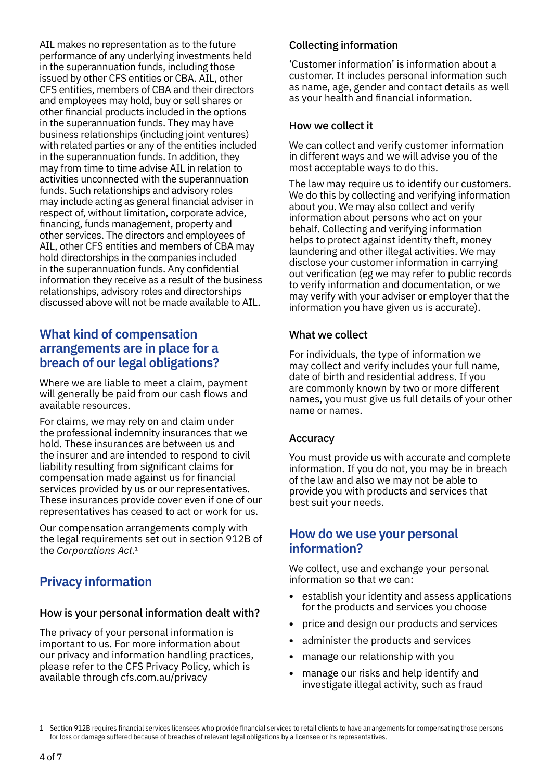AIL makes no representation as to the future performance of any underlying investments held in the superannuation funds, including those issued by other CFS entities or CBA. AIL, other CFS entities, members of CBA and their directors and employees may hold, buy or sell shares or other financial products included in the options in the superannuation funds. They may have business relationships (including joint ventures) with related parties or any of the entities included in the superannuation funds. In addition, they may from time to time advise AIL in relation to activities unconnected with the superannuation funds. Such relationships and advisory roles may include acting as general financial adviser in respect of, without limitation, corporate advice, financing, funds management, property and other services. The directors and employees of AIL, other CFS entities and members of CBA may hold directorships in the companies included in the superannuation funds. Any confidential information they receive as a result of the business relationships, advisory roles and directorships discussed above will not be made available to AIL.

## **What kind of compensation arrangements are in place for a breach of our legal obligations?**

Where we are liable to meet a claim, payment will generally be paid from our cash flows and available resources.

For claims, we may rely on and claim under the professional indemnity insurances that we hold. These insurances are between us and the insurer and are intended to respond to civil liability resulting from significant claims for compensation made against us for financial services provided by us or our representatives. These insurances provide cover even if one of our representatives has ceased to act or work for us.

Our compensation arrangements comply with the legal requirements set out in section 912B of the *Corporations Act*.1

# **Privacy information**

#### How is your personal information dealt with?

The privacy of your personal information is important to us. For more information about our privacy and information handling practices, please refer to the CFS Privacy Policy, which is available through [cfs.com.au/privacy](http://cfs.com.au/privacy)

## Collecting information

'Customer information' is information about a customer. It includes personal information such as name, age, gender and contact details as well as your health and financial information.

#### How we collect it

We can collect and verify customer information in different ways and we will advise you of the most acceptable ways to do this.

The law may require us to identify our customers. We do this by collecting and verifying information about you. We may also collect and verify information about persons who act on your behalf. Collecting and verifying information helps to protect against identity theft, money laundering and other illegal activities. We may disclose your customer information in carrying out verification (eg we may refer to public records to verify information and documentation, or we may verify with your adviser or employer that the information you have given us is accurate).

## What we collect

For individuals, the type of information we may collect and verify includes your full name, date of birth and residential address. If you are commonly known by two or more different names, you must give us full details of your other name or names.

#### Accuracy

You must provide us with accurate and complete information. If you do not, you may be in breach of the law and also we may not be able to provide you with products and services that best suit your needs.

## **How do we use your personal information?**

We collect, use and exchange your personal information so that we can:

- **•** establish your identity and assess applications for the products and services you choose
- **•** price and design our products and services
- **•** administer the products and services
- **•** manage our relationship with you
- **•** manage our risks and help identify and investigate illegal activity, such as fraud

<sup>1</sup> Section 912B requires financial services licensees who provide financial services to retail clients to have arrangements for compensating those persons for loss or damage suffered because of breaches of relevant legal obligations by a licensee or its representatives.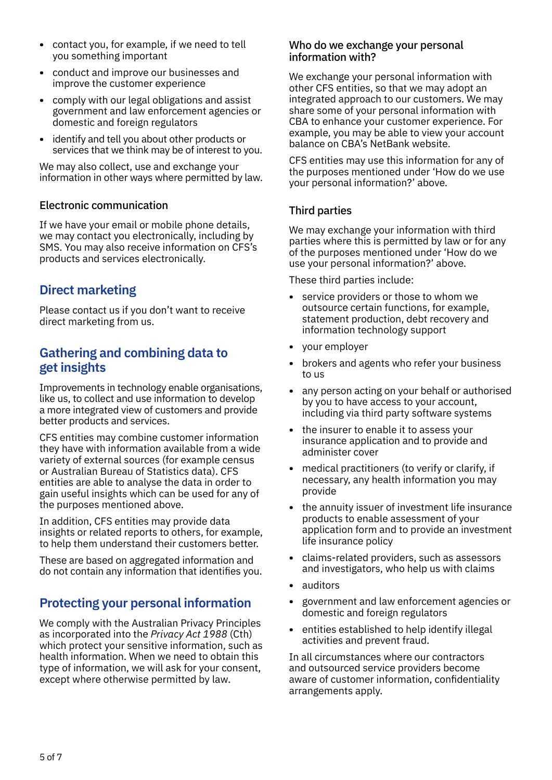- **•** contact you, for example, if we need to tell you something important
- **•** conduct and improve our businesses and improve the customer experience
- **•** comply with our legal obligations and assist government and law enforcement agencies or domestic and foreign regulators
- **•** identify and tell you about other products or services that we think may be of interest to you.

We may also collect, use and exchange your information in other ways where permitted by law.

## Electronic communication

If we have your email or mobile phone details, we may contact you electronically, including by SMS. You may also receive information on CFS's products and services electronically.

# **Direct marketing**

Please contact us if you don't want to receive direct marketing from us.

## **Gathering and combining data to get insights**

Improvements in technology enable organisations, like us, to collect and use information to develop a more integrated view of customers and provide better products and services.

CFS entities may combine customer information they have with information available from a wide variety of external sources (for example census or Australian Bureau of Statistics data). CFS entities are able to analyse the data in order to gain useful insights which can be used for any of the purposes mentioned above.

In addition, CFS entities may provide data insights or related reports to others, for example, to help them understand their customers better.

These are based on aggregated information and do not contain any information that identifies you.

# **Protecting your personal information**

We comply with the Australian Privacy Principles as incorporated into the *Privacy Act 1988* (Cth) which protect your sensitive information, such as health information. When we need to obtain this type of information, we will ask for your consent, except where otherwise permitted by law.

#### Who do we exchange your personal information with?

We exchange your personal information with other CFS entities, so that we may adopt an integrated approach to our customers. We may share some of your personal information with CBA to enhance your customer experience. For example, you may be able to view your account balance on CBA's NetBank website.

CFS entities may use this information for any of the purposes mentioned under 'How do we use your personal information?' above.

#### Third parties

We may exchange your information with third parties where this is permitted by law or for any of the purposes mentioned under 'How do we use your personal information?' above.

These third parties include:

- **•** service providers or those to whom we outsource certain functions, for example, statement production, debt recovery and information technology support
- **•** your employer
- **•** brokers and agents who refer your business to us
- **•** any person acting on your behalf or authorised by you to have access to your account, including via third party software systems
- **•** the insurer to enable it to assess your insurance application and to provide and administer cover
- **•** medical practitioners (to verify or clarify, if necessary, any health information you may provide
- **•** the annuity issuer of investment life insurance products to enable assessment of your application form and to provide an investment life insurance policy
- **•** claims-related providers, such as assessors and investigators, who help us with claims
- **•** auditors
- **•** government and law enforcement agencies or domestic and foreign regulators
- **•** entities established to help identify illegal activities and prevent fraud.

In all circumstances where our contractors and outsourced service providers become aware of customer information, confidentiality arrangements apply.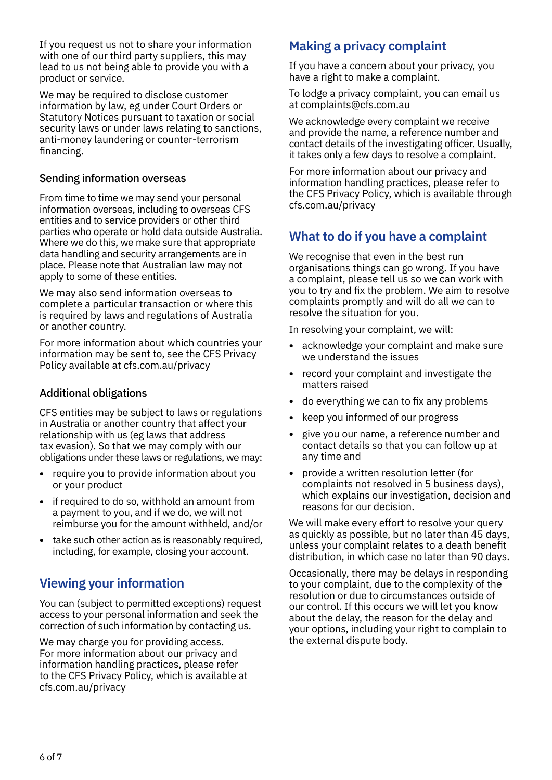If you request us not to share your information with one of our third party suppliers, this may lead to us not being able to provide you with a product or service.

We may be required to disclose customer information by law, eg under Court Orders or Statutory Notices pursuant to taxation or social security laws or under laws relating to sanctions, anti-money laundering or counter-terrorism financing.

#### Sending information overseas

From time to time we may send your personal information overseas, including to overseas CFS entities and to service providers or other third parties who operate or hold data outside Australia. Where we do this, we make sure that appropriate data handling and security arrangements are in place. Please note that Australian law may not apply to some of these entities.

We may also send information overseas to complete a particular transaction or where this is required by laws and regulations of Australia or another country.

For more information about which countries your information may be sent to, see the CFS Privacy Policy available at [cfs.com.au/privacy](http://cfs.com.au/privacy)

## Additional obligations

CFS entities may be subject to laws or regulations in Australia or another country that affect your relationship with us (eg laws that address tax evasion). So that we may comply with our obligations under these laws or regulations, we may:

- **•** require you to provide information about you or your product
- **•** if required to do so, withhold an amount from a payment to you, and if we do, we will not reimburse you for the amount withheld, and/or
- **•** take such other action as is reasonably required, including, for example, closing your account.

# **Viewing your information**

You can (subject to permitted exceptions) request access to your personal information and seek the correction of such information by contacting us.

We may charge you for providing access. For more information about our privacy and information handling practices, please refer to the CFS Privacy Policy, which is available at [cfs.com.au/privacy](http://cfs.com.au/privacy)

# **Making a privacy complaint**

If you have a concern about your privacy, you have a right to make a complaint.

To lodge a privacy complaint, you can email us at complaints@cfs.com.au

We acknowledge every complaint we receive and provide the name, a reference number and contact details of the investigating officer. Usually, it takes only a few days to resolve a complaint.

For more information about our privacy and information handling practices, please refer to the CFS Privacy Policy, which is available through [cfs.com.au/privacy](http://cfs.com.au/privacy)

# **What to do if you have a complaint**

We recognise that even in the best run organisations things can go wrong. If you have a complaint, please tell us so we can work with you to try and fix the problem. We aim to resolve complaints promptly and will do all we can to resolve the situation for you.

In resolving your complaint, we will:

- **•** acknowledge your complaint and make sure we understand the issues
- **•** record your complaint and investigate the matters raised
- **•** do everything we can to fix any problems
- **•** keep you informed of our progress
- **•** give you our name, a reference number and contact details so that you can follow up at any time and
- **•** provide a written resolution letter (for complaints not resolved in 5 business days), which explains our investigation, decision and reasons for our decision.

We will make every effort to resolve your query as quickly as possible, but no later than 45 days, unless your complaint relates to a death benefit distribution, in which case no later than 90 days.

Occasionally, there may be delays in responding to your complaint, due to the complexity of the resolution or due to circumstances outside of our control. If this occurs we will let you know about the delay, the reason for the delay and your options, including your right to complain to the external dispute body.